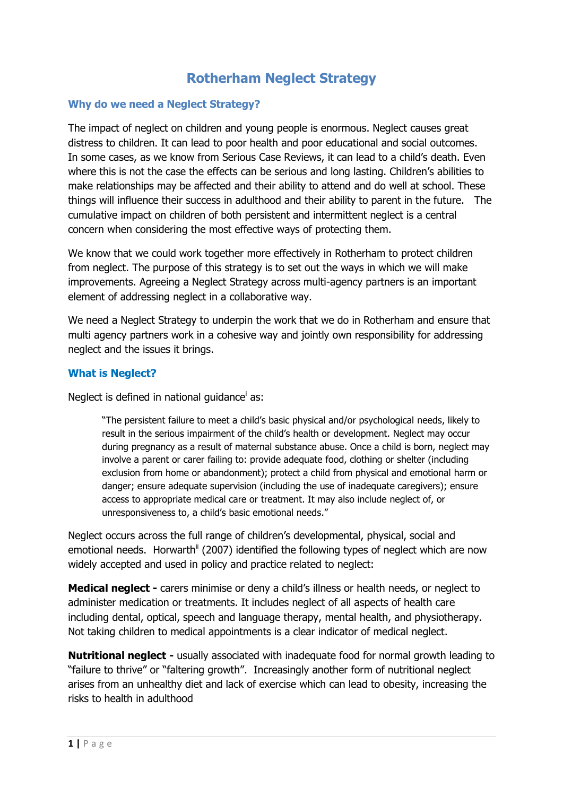# **Rotherham Neglect Strategy**

#### **Why do we need a Neglect Strategy?**

The impact of neglect on children and young people is enormous. Neglect causes great distress to children. It can lead to poor health and poor educational and social outcomes. In some cases, as we know from Serious Case Reviews, it can lead to a child's death. Even where this is not the case the effects can be serious and long lasting. Children's abilities to make relationships may be affected and their ability to attend and do well at school. These things will influence their success in adulthood and their ability to parent in the future. The cumulative impact on children of both persistent and intermittent neglect is a central concern when considering the most effective ways of protecting them.

We know that we could work together more effectively in Rotherham to protect children from neglect. The purpose of this strategy is to set out the ways in which we will make improvements. Agreeing a Neglect Strategy across multi-agency partners is an important element of addressing neglect in a collaborative way.

We need a Neglect Strategy to underpin the work that we do in Rotherham and ensure that multi agency partners work in a cohesive way and jointly own responsibility for addressing neglect and the issues it brings.

## **What is Neglect?**

Neglect is defined in national guidance<sup>i</sup> as:

"The persistent failure to meet a child's basic physical and/or psychological needs, likely to result in the serious impairment of the child's health or development. Neglect may occur during pregnancy as a result of maternal substance abuse. Once a child is born, neglect may involve a parent or carer failing to: provide adequate food, clothing or shelter (including exclusion from home or abandonment); protect a child from physical and emotional harm or danger; ensure adequate supervision (including the use of inadequate caregivers); ensure access to appropriate medical care or treatment. It may also include neglect of, or unresponsiveness to, a child's basic emotional needs."

Neglect occurs across the full range of children's developmental, physical, social and emotional needs. Horwarth<sup>ii</sup> (2007) identified the following types of neglect which are now widely accepted and used in policy and practice related to neglect:

**Medical neglect -** carers minimise or deny a child's illness or health needs, or neglect to administer medication or treatments. It includes neglect of all aspects of health care including dental, optical, speech and language therapy, mental health, and physiotherapy. Not taking children to medical appointments is a clear indicator of medical neglect.

**Nutritional neglect -** usually associated with inadequate food for normal growth leading to "failure to thrive" or "faltering growth". Increasingly another form of nutritional neglect arises from an unhealthy diet and lack of exercise which can lead to obesity, increasing the risks to health in adulthood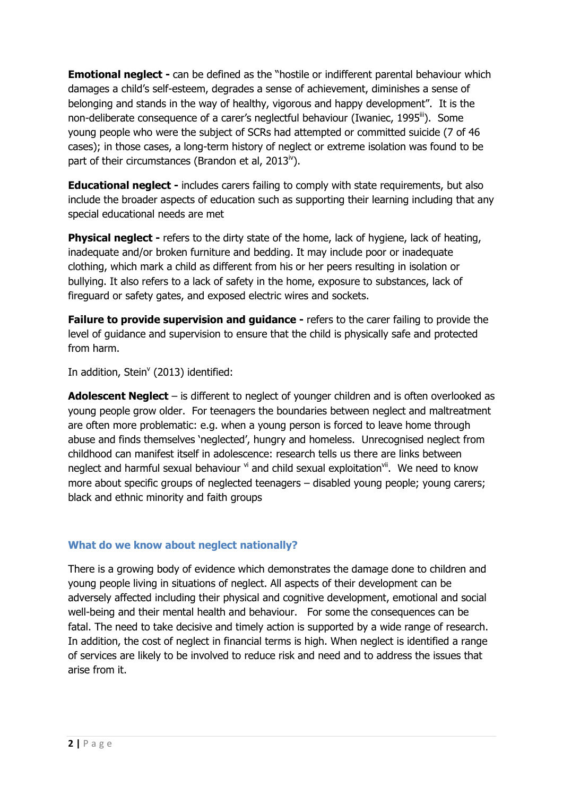**Emotional neglect -** can be defined as the "hostile or indifferent parental behaviour which damages a child's self-esteem, degrades a sense of achievement, diminishes a sense of belonging and stands in the way of healthy, vigorous and happy development". It is the non-deliberate consequence of a carer's neglectful behaviour (Iwaniec, 1995<sup>iii</sup>). Some young people who were the subject of SCRs had attempted or committed suicide (7 of 46 cases); in those cases, a long-term history of neglect or extreme isolation was found to be part of their circumstances (Brandon et al,  $2013^{\circ}$ ).

**Educational neglect -** includes carers failing to comply with state requirements, but also include the broader aspects of education such as supporting their learning including that any special educational needs are met

**Physical neglect -** refers to the dirty state of the home, lack of hygiene, lack of heating, inadequate and/or broken furniture and bedding. It may include poor or inadequate clothing, which mark a child as different from his or her peers resulting in isolation or bullying. It also refers to a lack of safety in the home, exposure to substances, lack of fireguard or safety gates, and exposed electric wires and sockets.

**Failure to provide supervision and guidance -** refers to the carer failing to provide the level of guidance and supervision to ensure that the child is physically safe and protected from harm.

In addition, Stein<sup>v</sup> (2013) identified:

**Adolescent Neglect** – is different to neglect of younger children and is often overlooked as young people grow older. For teenagers the boundaries between neglect and maltreatment are often more problematic: e.g. when a young person is forced to leave home through abuse and finds themselves 'neglected', hungry and homeless. Unrecognised neglect from childhood can manifest itself in adolescence: research tells us there are links between neglect and harmful sexual behaviour vi and child sexual exploitation<sup>vii</sup>. We need to know more about specific groups of neglected teenagers – disabled young people; young carers; black and ethnic minority and faith groups

## **What do we know about neglect nationally?**

There is a growing body of evidence which demonstrates the damage done to children and young people living in situations of neglect. All aspects of their development can be adversely affected including their physical and cognitive development, emotional and social well-being and their mental health and behaviour. For some the consequences can be fatal. The need to take decisive and timely action is supported by a wide range of research. In addition, the cost of neglect in financial terms is high. When neglect is identified a range of services are likely to be involved to reduce risk and need and to address the issues that arise from it.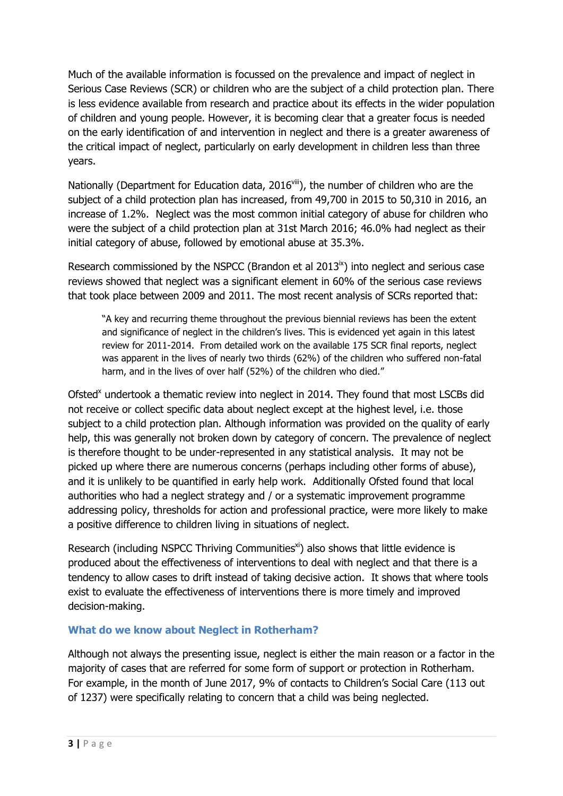Much of the available information is focussed on the prevalence and impact of neglect in Serious Case Reviews (SCR) or children who are the subject of a child protection plan. There is less evidence available from research and practice about its effects in the wider population of children and young people. However, it is becoming clear that a greater focus is needed on the early identification of and intervention in neglect and there is a greater awareness of the critical impact of neglect, particularly on early development in children less than three years.

Nationally (Department for Education data, 2016<sup>viii</sup>), the number of children who are the subject of a child protection plan has increased, from 49,700 in 2015 to 50,310 in 2016, an increase of 1.2%. Neglect was the most common initial category of abuse for children who were the subject of a child protection plan at 31st March 2016; 46.0% had neglect as their initial category of abuse, followed by emotional abuse at 35.3%.

Research commissioned by the NSPCC (Brandon et al  $2013<sup>ix</sup>$ ) into neglect and serious case reviews showed that neglect was a significant element in 60% of the serious case reviews that took place between 2009 and 2011. The most recent analysis of SCRs reported that:

"A key and recurring theme throughout the previous biennial reviews has been the extent and significance of neglect in the children's lives. This is evidenced yet again in this latest review for 2011-2014. From detailed work on the available 175 SCR final reports, neglect was apparent in the lives of nearly two thirds (62%) of the children who suffered non-fatal harm, and in the lives of over half (52%) of the children who died."

Ofsted<sup>x</sup> undertook a thematic review into neglect in 2014. They found that most LSCBs did not receive or collect specific data about neglect except at the highest level, i.e. those subject to a child protection plan. Although information was provided on the quality of early help, this was generally not broken down by category of concern. The prevalence of neglect is therefore thought to be under-represented in any statistical analysis. It may not be picked up where there are numerous concerns (perhaps including other forms of abuse), and it is unlikely to be quantified in early help work. Additionally Ofsted found that local authorities who had a neglect strategy and / or a systematic improvement programme addressing policy, thresholds for action and professional practice, were more likely to make a positive difference to children living in situations of neglect.

Research (including NSPCC Thriving Communities<sup>xi</sup>) also shows that little evidence is produced about the effectiveness of interventions to deal with neglect and that there is a tendency to allow cases to drift instead of taking decisive action. It shows that where tools exist to evaluate the effectiveness of interventions there is more timely and improved decision-making.

## **What do we know about Neglect in Rotherham?**

Although not always the presenting issue, neglect is either the main reason or a factor in the majority of cases that are referred for some form of support or protection in Rotherham. For example, in the month of June 2017, 9% of contacts to Children's Social Care (113 out of 1237) were specifically relating to concern that a child was being neglected.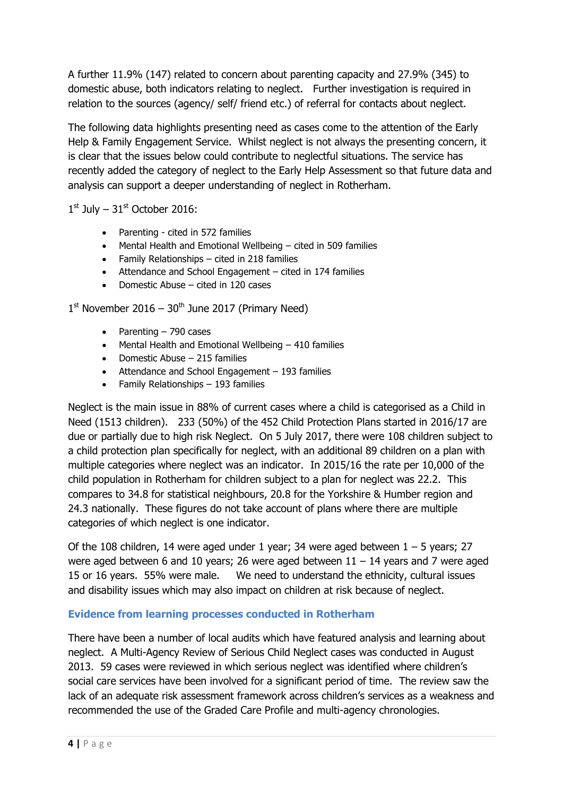A further 11.9% (147) related to concern about parenting capacity and 27.9% (345) to domestic abuse, both indicators relating to neglect. Further investigation is required in relation to the sources (agency/ self/ friend etc.) of referral for contacts about neglect.

The following data highlights presenting need as cases come to the attention of the Early Help & Family Engagement Service. Whilst neglect is not always the presenting concern, it is clear that the issues below could contribute to neglectful situations. The service has recently added the category of neglect to the Early Help Assessment so that future data and analysis can support a deeper understanding of neglect in Rotherham.

 $1<sup>st</sup>$  July –  $31<sup>st</sup>$  October 2016:

- Parenting cited in 572 families
- Mental Health and Emotional Wellbeing cited in 509 families
- Family Relationships cited in 218 families
- Attendance and School Engagement cited in 174 families
- Domestic Abuse cited in 120 cases

 $1<sup>st</sup>$  November 2016 – 30<sup>th</sup> June 2017 (Primary Need)

- Parenting  $-790$  cases
- Mental Health and Emotional Wellbeing 410 families
- $\bullet$  Domestic Abuse 215 families
- Attendance and School Engagement 193 families
- Family Relationships 193 families

Neglect is the main issue in 88% of current cases where a child is categorised as a Child in Need (1513 children). 233 (50%) of the 452 Child Protection Plans started in 2016/17 are due or partially due to high risk Neglect. On 5 July 2017, there were 108 children subject to a child protection plan specifically for neglect, with an additional 89 children on a plan with multiple categories where neglect was an indicator. In 2015/16 the rate per 10,000 of the child population in Rotherham for children subject to a plan for neglect was 22.2. This compares to 34.8 for statistical neighbours, 20.8 for the Yorkshire & Humber region and 24.3 nationally. These figures do not take account of plans where there are multiple categories of which neglect is one indicator.

Of the 108 children, 14 were aged under 1 year; 34 were aged between  $1 - 5$  years; 27 were aged between 6 and 10 years; 26 were aged between  $11 - 14$  years and 7 were aged 15 or 16 years. 55% were male. We need to understand the ethnicity, cultural issues and disability issues which may also impact on children at risk because of neglect.

## **Evidence from learning processes conducted in Rotherham**

There have been a number of local audits which have featured analysis and learning about neglect. A Multi-Agency Review of Serious Child Neglect cases was conducted in August 2013. 59 cases were reviewed in which serious neglect was identified where children's social care services have been involved for a significant period of time. The review saw the lack of an adequate risk assessment framework across children's services as a weakness and recommended the use of the Graded Care Profile and multi-agency chronologies.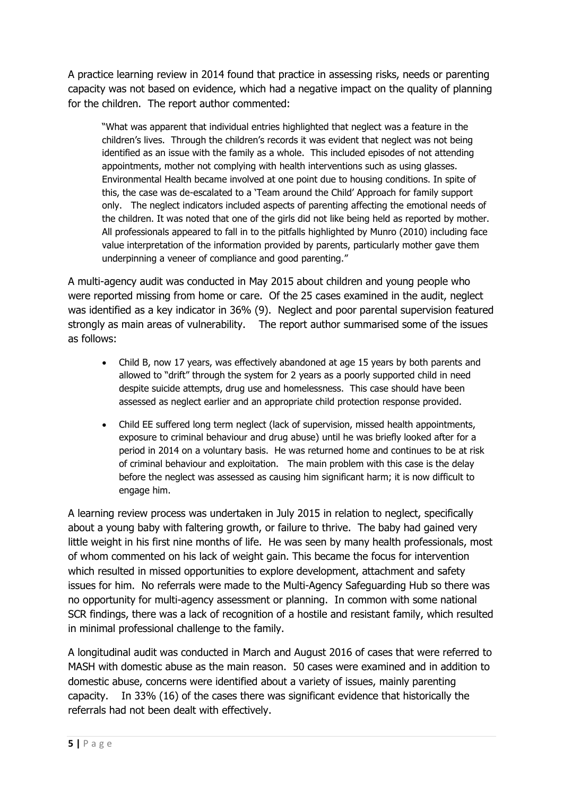A practice learning review in 2014 found that practice in assessing risks, needs or parenting capacity was not based on evidence, which had a negative impact on the quality of planning for the children. The report author commented:

"What was apparent that individual entries highlighted that neglect was a feature in the children's lives. Through the children's records it was evident that neglect was not being identified as an issue with the family as a whole. This included episodes of not attending appointments, mother not complying with health interventions such as using glasses. Environmental Health became involved at one point due to housing conditions. In spite of this, the case was de-escalated to a 'Team around the Child' Approach for family support only. The neglect indicators included aspects of parenting affecting the emotional needs of the children. It was noted that one of the girls did not like being held as reported by mother. All professionals appeared to fall in to the pitfalls highlighted by Munro (2010) including face value interpretation of the information provided by parents, particularly mother gave them underpinning a veneer of compliance and good parenting."

A multi-agency audit was conducted in May 2015 about children and young people who were reported missing from home or care. Of the 25 cases examined in the audit, neglect was identified as a key indicator in 36% (9). Neglect and poor parental supervision featured strongly as main areas of vulnerability. The report author summarised some of the issues as follows:

- Child B, now 17 years, was effectively abandoned at age 15 years by both parents and allowed to "drift" through the system for 2 years as a poorly supported child in need despite suicide attempts, drug use and homelessness. This case should have been assessed as neglect earlier and an appropriate child protection response provided.
- Child EE suffered long term neglect (lack of supervision, missed health appointments, exposure to criminal behaviour and drug abuse) until he was briefly looked after for a period in 2014 on a voluntary basis. He was returned home and continues to be at risk of criminal behaviour and exploitation. The main problem with this case is the delay before the neglect was assessed as causing him significant harm; it is now difficult to engage him.

A learning review process was undertaken in July 2015 in relation to neglect, specifically about a young baby with faltering growth, or failure to thrive. The baby had gained very little weight in his first nine months of life. He was seen by many health professionals, most of whom commented on his lack of weight gain. This became the focus for intervention which resulted in missed opportunities to explore development, attachment and safety issues for him. No referrals were made to the Multi-Agency Safeguarding Hub so there was no opportunity for multi-agency assessment or planning. In common with some national SCR findings, there was a lack of recognition of a hostile and resistant family, which resulted in minimal professional challenge to the family.

A longitudinal audit was conducted in March and August 2016 of cases that were referred to MASH with domestic abuse as the main reason. 50 cases were examined and in addition to domestic abuse, concerns were identified about a variety of issues, mainly parenting capacity. In 33% (16) of the cases there was significant evidence that historically the referrals had not been dealt with effectively.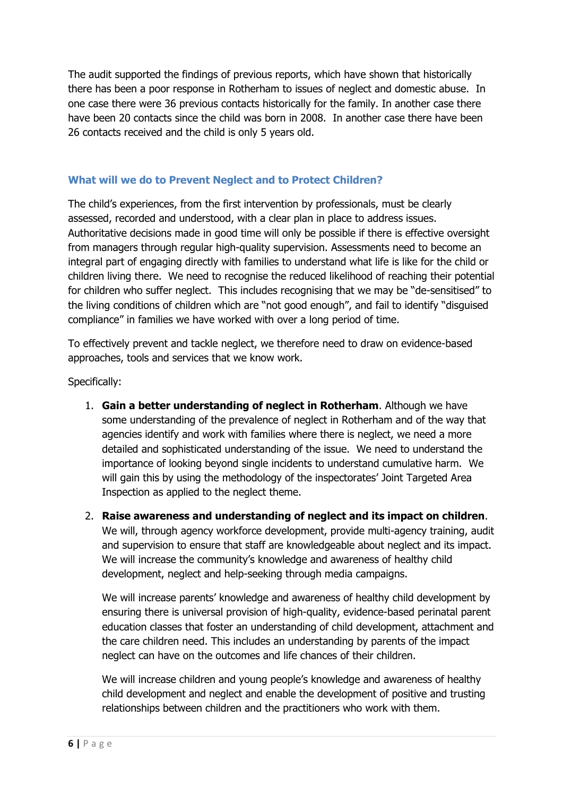The audit supported the findings of previous reports, which have shown that historically there has been a poor response in Rotherham to issues of neglect and domestic abuse. In one case there were 36 previous contacts historically for the family. In another case there have been 20 contacts since the child was born in 2008. In another case there have been 26 contacts received and the child is only 5 years old.

## **What will we do to Prevent Neglect and to Protect Children?**

The child's experiences, from the first intervention by professionals, must be clearly assessed, recorded and understood, with a clear plan in place to address issues. Authoritative decisions made in good time will only be possible if there is effective oversight from managers through regular high-quality supervision. Assessments need to become an integral part of engaging directly with families to understand what life is like for the child or children living there. We need to recognise the reduced likelihood of reaching their potential for children who suffer neglect. This includes recognising that we may be "de-sensitised" to the living conditions of children which are "not good enough", and fail to identify "disguised compliance" in families we have worked with over a long period of time.

To effectively prevent and tackle neglect, we therefore need to draw on evidence-based approaches, tools and services that we know work.

Specifically:

- 1. **Gain a better understanding of neglect in Rotherham**. Although we have some understanding of the prevalence of neglect in Rotherham and of the way that agencies identify and work with families where there is neglect, we need a more detailed and sophisticated understanding of the issue. We need to understand the importance of looking beyond single incidents to understand cumulative harm. We will gain this by using the methodology of the inspectorates' Joint Targeted Area Inspection as applied to the neglect theme.
- 2. **Raise awareness and understanding of neglect and its impact on children**. We will, through agency workforce development, provide multi-agency training, audit and supervision to ensure that staff are knowledgeable about neglect and its impact. We will increase the community's knowledge and awareness of healthy child development, neglect and help-seeking through media campaigns.

We will increase parents' knowledge and awareness of healthy child development by ensuring there is universal provision of high-quality, evidence-based perinatal parent education classes that foster an understanding of child development, attachment and the care children need. This includes an understanding by parents of the impact neglect can have on the outcomes and life chances of their children.

We will increase children and young people's knowledge and awareness of healthy child development and neglect and enable the development of positive and trusting relationships between children and the practitioners who work with them.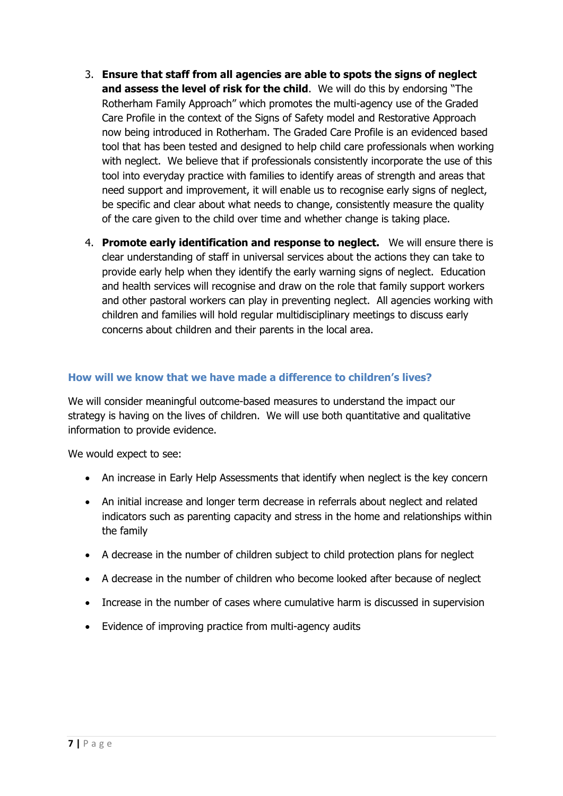- 3. **Ensure that staff from all agencies are able to spots the signs of neglect and assess the level of risk for the child**. We will do this by endorsing "The Rotherham Family Approach" which promotes the multi-agency use of the Graded Care Profile in the context of the Signs of Safety model and Restorative Approach now being introduced in Rotherham. The Graded Care Profile is an evidenced based tool that has been tested and designed to help child care professionals when working with neglect. We believe that if professionals consistently incorporate the use of this tool into everyday practice with families to identify areas of strength and areas that need support and improvement, it will enable us to recognise early signs of neglect, be specific and clear about what needs to change, consistently measure the quality of the care given to the child over time and whether change is taking place.
- 4. **Promote early identification and response to neglect.** We will ensure there is clear understanding of staff in universal services about the actions they can take to provide early help when they identify the early warning signs of neglect. Education and health services will recognise and draw on the role that family support workers and other pastoral workers can play in preventing neglect. All agencies working with children and families will hold regular multidisciplinary meetings to discuss early concerns about children and their parents in the local area.

## **How will we know that we have made a difference to children's lives?**

We will consider meaningful outcome-based measures to understand the impact our strategy is having on the lives of children. We will use both quantitative and qualitative information to provide evidence.

We would expect to see:

- An increase in Early Help Assessments that identify when neglect is the key concern
- An initial increase and longer term decrease in referrals about neglect and related indicators such as parenting capacity and stress in the home and relationships within the family
- A decrease in the number of children subject to child protection plans for neglect
- A decrease in the number of children who become looked after because of neglect
- Increase in the number of cases where cumulative harm is discussed in supervision
- Evidence of improving practice from multi-agency audits